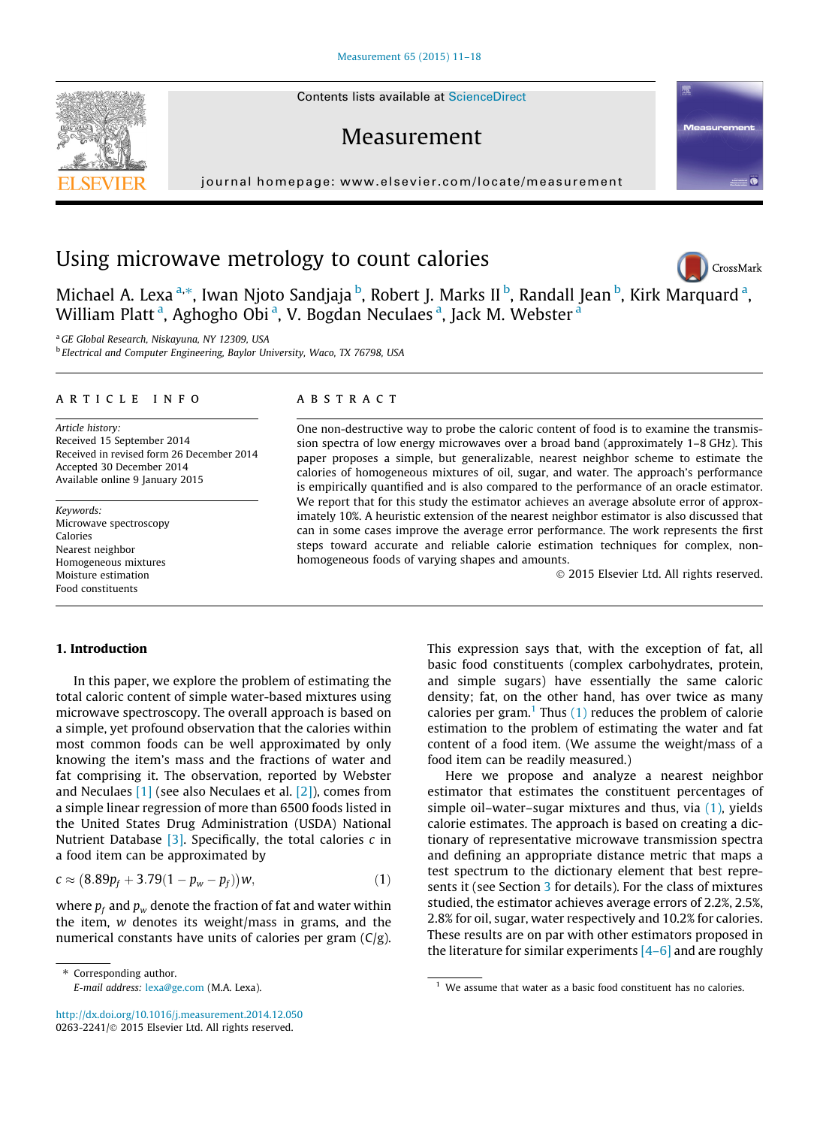Contents lists available at [ScienceDirect](http://www.sciencedirect.com/science/journal/02632241)

# Measurement

journal homepage: [www.elsevier.com/locate/measurement](http://www.elsevier.com/locate/measurement)



Michael A. Lexa <sup>a,\*</sup>, Iwan Njoto Sandjaja <sup>b</sup>, Robert J. Marks II <sup>b</sup>, Randall Jean <sup>b</sup>, Kirk Marquard <sup>a</sup>, William Platt<sup>a</sup>, Aghogho Obi<sup>a</sup>, V. Bogdan Neculaes<sup>a</sup>, Jack M. Webster<sup>a</sup>

<sup>a</sup> GE Global Research, Niskayuna, NY 12309, USA

<sup>b</sup> Electrical and Computer Engineering, Baylor University, Waco, TX 76798, USA

#### article info

Article history: Received 15 September 2014 Received in revised form 26 December 2014 Accepted 30 December 2014 Available online 9 January 2015

Keywords: Microwave spectroscopy Calories Nearest neighbor Homogeneous mixtures Moisture estimation Food constituents

#### **ABSTRACT**

One non-destructive way to probe the caloric content of food is to examine the transmission spectra of low energy microwaves over a broad band (approximately 1–8 GHz). This paper proposes a simple, but generalizable, nearest neighbor scheme to estimate the calories of homogeneous mixtures of oil, sugar, and water. The approach's performance is empirically quantified and is also compared to the performance of an oracle estimator. We report that for this study the estimator achieves an average absolute error of approximately 10%. A heuristic extension of the nearest neighbor estimator is also discussed that can in some cases improve the average error performance. The work represents the first steps toward accurate and reliable calorie estimation techniques for complex, nonhomogeneous foods of varying shapes and amounts.

- 2015 Elsevier Ltd. All rights reserved.

# 1. Introduction

In this paper, we explore the problem of estimating the total caloric content of simple water-based mixtures using microwave spectroscopy. The overall approach is based on a simple, yet profound observation that the calories within most common foods can be well approximated by only knowing the item's mass and the fractions of water and fat comprising it. The observation, reported by Webster and Neculaes [\[1\]](#page-7-0) (see also Neculaes et al. [\[2\]](#page-7-0)), comes from a simple linear regression of more than 6500 foods listed in the United States Drug Administration (USDA) National Nutrient Database  $[3]$ . Specifically, the total calories c in a food item can be approximated by

$$
c \approx (8.89p_f + 3.79(1 - p_w - p_f))w, \qquad (1)
$$

where  $p_f$  and  $p_w$  denote the fraction of fat and water within the item, w denotes its weight/mass in grams, and the numerical constants have units of calories per gram (C/g).

⇑ Corresponding author.

<http://dx.doi.org/10.1016/j.measurement.2014.12.050> 0263-2241/© 2015 Elsevier Ltd. All rights reserved.

This expression says that, with the exception of fat, all basic food constituents (complex carbohydrates, protein, and simple sugars) have essentially the same caloric density; fat, on the other hand, has over twice as many calories per gram.<sup>1</sup> Thus  $(1)$  reduces the problem of calorie estimation to the problem of estimating the water and fat content of a food item. (We assume the weight/mass of a food item can be readily measured.)

Here we propose and analyze a nearest neighbor estimator that estimates the constituent percentages of simple oil–water–sugar mixtures and thus, via (1), yields calorie estimates. The approach is based on creating a dictionary of representative microwave transmission spectra and defining an appropriate distance metric that maps a test spectrum to the dictionary element that best repre-sents it (see Section [3](#page-2-0) for details). For the class of mixtures studied, the estimator achieves average errors of 2.2%, 2.5%, 2.8% for oil, sugar, water respectively and 10.2% for calories. These results are on par with other estimators proposed in the literature for similar experiments  $[4-6]$  and are roughly

<span id="page-0-0"></span>



CrossMark

E-mail address: [lexa@ge.com](mailto:lexa@ge.com) (M.A. Lexa). 1 We assume that water as a basic food constituent has no calories.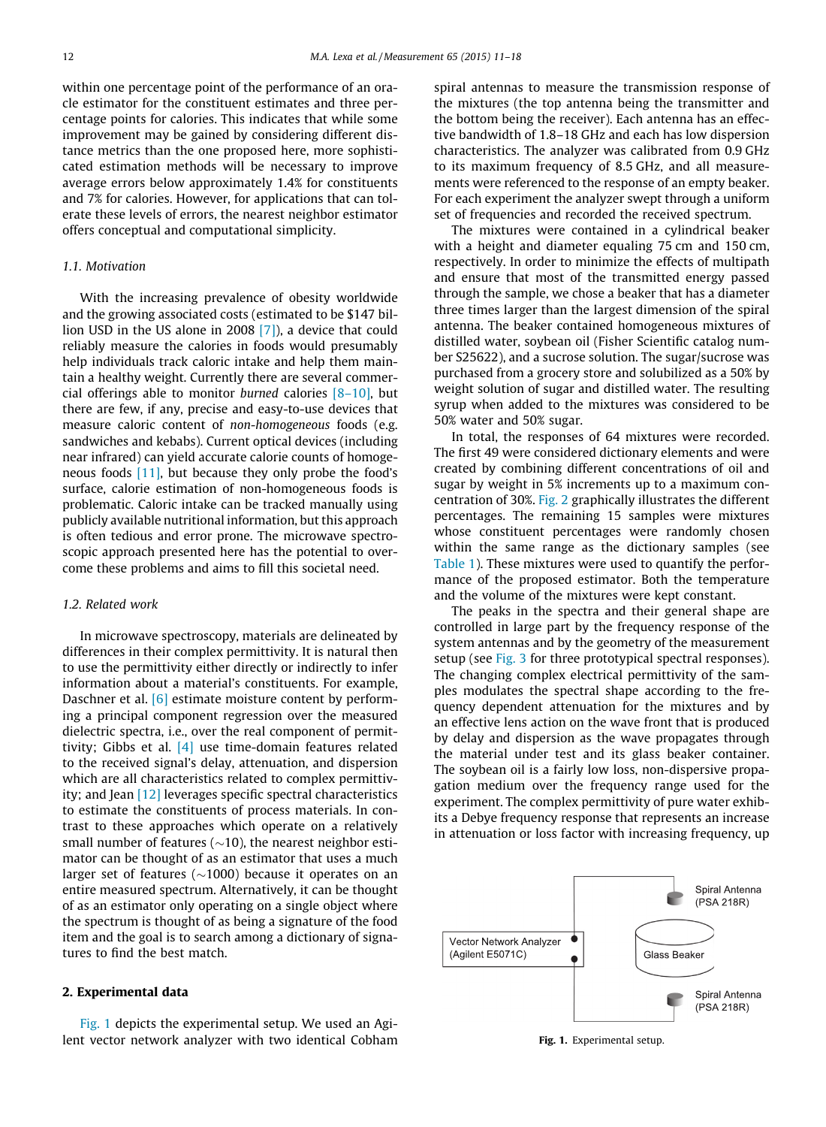within one percentage point of the performance of an oracle estimator for the constituent estimates and three percentage points for calories. This indicates that while some improvement may be gained by considering different distance metrics than the one proposed here, more sophisticated estimation methods will be necessary to improve average errors below approximately 1.4% for constituents and 7% for calories. However, for applications that can tolerate these levels of errors, the nearest neighbor estimator offers conceptual and computational simplicity.

## 1.1. Motivation

With the increasing prevalence of obesity worldwide and the growing associated costs (estimated to be \$147 billion USD in the US alone in 2008 [\[7\]\)](#page-7-0), a device that could reliably measure the calories in foods would presumably help individuals track caloric intake and help them maintain a healthy weight. Currently there are several commercial offerings able to monitor burned calories  $[8-10]$ , but there are few, if any, precise and easy-to-use devices that measure caloric content of non-homogeneous foods (e.g. sandwiches and kebabs). Current optical devices (including near infrared) can yield accurate calorie counts of homogeneous foods [\[11\],](#page-7-0) but because they only probe the food's surface, calorie estimation of non-homogeneous foods is problematic. Caloric intake can be tracked manually using publicly available nutritional information, but this approach is often tedious and error prone. The microwave spectroscopic approach presented here has the potential to overcome these problems and aims to fill this societal need.

#### 1.2. Related work

In microwave spectroscopy, materials are delineated by differences in their complex permittivity. It is natural then to use the permittivity either directly or indirectly to infer information about a material's constituents. For example, Daschner et al. [\[6\]](#page-7-0) estimate moisture content by performing a principal component regression over the measured dielectric spectra, i.e., over the real component of permittivity; Gibbs et al. [\[4\]](#page-7-0) use time-domain features related to the received signal's delay, attenuation, and dispersion which are all characteristics related to complex permittivity; and Jean [\[12\]](#page-7-0) leverages specific spectral characteristics to estimate the constituents of process materials. In contrast to these approaches which operate on a relatively small number of features ( $\sim$ 10), the nearest neighbor estimator can be thought of as an estimator that uses a much larger set of features ( $\sim$ 1000) because it operates on an entire measured spectrum. Alternatively, it can be thought of as an estimator only operating on a single object where the spectrum is thought of as being a signature of the food item and the goal is to search among a dictionary of signatures to find the best match.

## 2. Experimental data

Fig. 1 depicts the experimental setup. We used an Agilent vector network analyzer with two identical Cobham

spiral antennas to measure the transmission response of the mixtures (the top antenna being the transmitter and the bottom being the receiver). Each antenna has an effective bandwidth of 1.8–18 GHz and each has low dispersion characteristics. The analyzer was calibrated from 0.9 GHz to its maximum frequency of 8.5 GHz, and all measurements were referenced to the response of an empty beaker. For each experiment the analyzer swept through a uniform set of frequencies and recorded the received spectrum.

The mixtures were contained in a cylindrical beaker with a height and diameter equaling 75 cm and 150 cm, respectively. In order to minimize the effects of multipath and ensure that most of the transmitted energy passed through the sample, we chose a beaker that has a diameter three times larger than the largest dimension of the spiral antenna. The beaker contained homogeneous mixtures of distilled water, soybean oil (Fisher Scientific catalog number S25622), and a sucrose solution. The sugar/sucrose was purchased from a grocery store and solubilized as a 50% by weight solution of sugar and distilled water. The resulting syrup when added to the mixtures was considered to be 50% water and 50% sugar.

In total, the responses of 64 mixtures were recorded. The first 49 were considered dictionary elements and were created by combining different concentrations of oil and sugar by weight in 5% increments up to a maximum concentration of 30%. [Fig. 2](#page-2-0) graphically illustrates the different percentages. The remaining 15 samples were mixtures whose constituent percentages were randomly chosen within the same range as the dictionary samples (see [Table 1\)](#page-2-0). These mixtures were used to quantify the performance of the proposed estimator. Both the temperature and the volume of the mixtures were kept constant.

The peaks in the spectra and their general shape are controlled in large part by the frequency response of the system antennas and by the geometry of the measurement setup (see [Fig. 3](#page-2-0) for three prototypical spectral responses). The changing complex electrical permittivity of the samples modulates the spectral shape according to the frequency dependent attenuation for the mixtures and by an effective lens action on the wave front that is produced by delay and dispersion as the wave propagates through the material under test and its glass beaker container. The soybean oil is a fairly low loss, non-dispersive propagation medium over the frequency range used for the experiment. The complex permittivity of pure water exhibits a Debye frequency response that represents an increase in attenuation or loss factor with increasing frequency, up



Fig. 1. Experimental setup.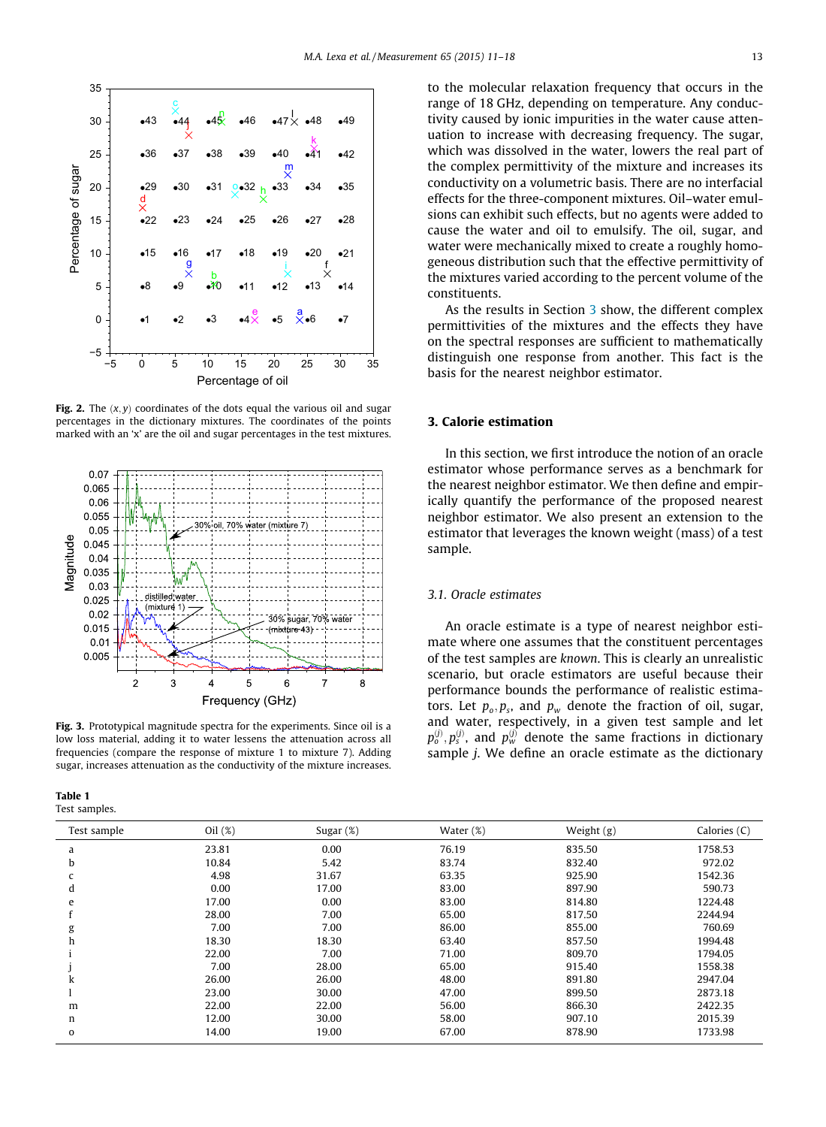<span id="page-2-0"></span>

Fig. 2. The  $(x, y)$  coordinates of the dots equal the various oil and sugar percentages in the dictionary mixtures. The coordinates of the points marked with an 'x' are the oil and sugar percentages in the test mixtures.



Fig. 3. Prototypical magnitude spectra for the experiments. Since oil is a low loss material, adding it to water lessens the attenuation across all frequencies (compare the response of mixture 1 to mixture 7). Adding sugar, increases attenuation as the conductivity of the mixture increases.

| Table 1       |  |  |
|---------------|--|--|
| Test samples. |  |  |

to the molecular relaxation frequency that occurs in the range of 18 GHz, depending on temperature. Any conductivity caused by ionic impurities in the water cause attenuation to increase with decreasing frequency. The sugar, which was dissolved in the water, lowers the real part of the complex permittivity of the mixture and increases its conductivity on a volumetric basis. There are no interfacial effects for the three-component mixtures. Oil–water emulsions can exhibit such effects, but no agents were added to cause the water and oil to emulsify. The oil, sugar, and water were mechanically mixed to create a roughly homogeneous distribution such that the effective permittivity of the mixtures varied according to the percent volume of the constituents.

As the results in Section 3 show, the different complex permittivities of the mixtures and the effects they have on the spectral responses are sufficient to mathematically distinguish one response from another. This fact is the basis for the nearest neighbor estimator.

# 3. Calorie estimation

In this section, we first introduce the notion of an oracle estimator whose performance serves as a benchmark for the nearest neighbor estimator. We then define and empirically quantify the performance of the proposed nearest neighbor estimator. We also present an extension to the estimator that leverages the known weight (mass) of a test sample.

# 3.1. Oracle estimates

An oracle estimate is a type of nearest neighbor estimate where one assumes that the constituent percentages of the test samples are known. This is clearly an unrealistic scenario, but oracle estimators are useful because their performance bounds the performance of realistic estimators. Let  $p_o, p_s$ , and  $p_w$  denote the fraction of oil, sugar, and water, respectively, in a given test sample and let  $p_o^{\left(j\right)},p_s^{\left(j\right)}$ , and  $p_w^{\left(j\right)}$  denote the same fractions in dictionary sample j. We define an oracle estimate as the dictionary

| Test sample | Oil $(\%)$ | Sugar $(\%)$ | Water $(\%)$ | Weight (g) | Calories (C) |
|-------------|------------|--------------|--------------|------------|--------------|
| a           | 23.81      | 0.00         | 76.19        | 835.50     | 1758.53      |
| b           | 10.84      | 5.42         | 83.74        | 832.40     | 972.02       |
| c           | 4.98       | 31.67        | 63.35        | 925.90     | 1542.36      |
| d           | 0.00       | 17.00        | 83.00        | 897.90     | 590.73       |
| e           | 17.00      | 0.00         | 83.00        | 814.80     | 1224.48      |
|             | 28.00      | 7.00         | 65.00        | 817.50     | 2244.94      |
| g           | 7.00       | 7.00         | 86.00        | 855.00     | 760.69       |
| h           | 18.30      | 18.30        | 63.40        | 857.50     | 1994.48      |
|             | 22.00      | 7.00         | 71.00        | 809.70     | 1794.05      |
|             | 7.00       | 28.00        | 65.00        | 915.40     | 1558.38      |
| k           | 26.00      | 26.00        | 48.00        | 891.80     | 2947.04      |
|             | 23.00      | 30.00        | 47.00        | 899.50     | 2873.18      |
| m           | 22.00      | 22.00        | 56.00        | 866.30     | 2422.35      |
| n           | 12.00      | 30.00        | 58.00        | 907.10     | 2015.39      |
| 0           | 14.00      | 19.00        | 67.00        | 878.90     | 1733.98      |
|             |            |              |              |            |              |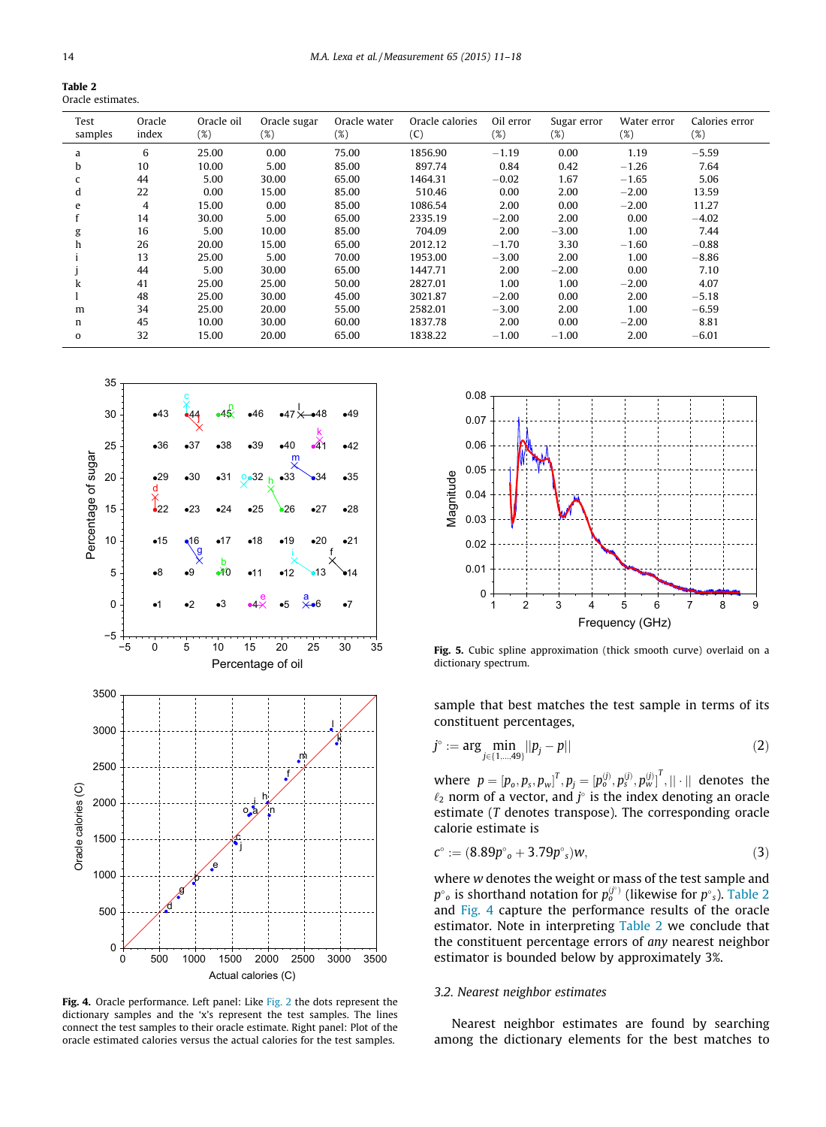<span id="page-3-0"></span>

| Table 2           |  |
|-------------------|--|
| Oracle estimates. |  |

| Test<br>samples | Oracle<br>index | Oracle oil<br>(%) | Oracle sugar<br>$(\%)$ | Oracle water<br>$(\%)$ | Oracle calories<br>(C) | Oil error<br>(%) | Sugar error<br>$(\%)$ | Water error<br>$(\%)$ | Calories error<br>$(\%)$ |
|-----------------|-----------------|-------------------|------------------------|------------------------|------------------------|------------------|-----------------------|-----------------------|--------------------------|
| a               | 6               | 25.00             | 0.00                   | 75.00                  | 1856.90                | $-1.19$          | 0.00                  | 1.19                  | $-5.59$                  |
| b               | 10              | 10.00             | 5.00                   | 85.00                  | 897.74                 | 0.84             | 0.42                  | $-1.26$               | 7.64                     |
|                 | 44              | 5.00              | 30.00                  | 65.00                  | 1464.31                | $-0.02$          | 1.67                  | $-1.65$               | 5.06                     |
| d               | 22              | 0.00              | 15.00                  | 85.00                  | 510.46                 | 0.00             | 2.00                  | $-2.00$               | 13.59                    |
| e               | 4               | 15.00             | 0.00                   | 85.00                  | 1086.54                | 2.00             | 0.00                  | $-2.00$               | 11.27                    |
|                 | 14              | 30.00             | 5.00                   | 65.00                  | 2335.19                | $-2.00$          | 2.00                  | 0.00                  | $-4.02$                  |
| g               | 16              | 5.00              | 10.00                  | 85.00                  | 704.09                 | 2.00             | $-3.00$               | 1.00                  | 7.44                     |
|                 | 26              | 20.00             | 15.00                  | 65.00                  | 2012.12                | $-1.70$          | 3.30                  | $-1.60$               | $-0.88$                  |
|                 | 13              | 25.00             | 5.00                   | 70.00                  | 1953.00                | $-3.00$          | 2.00                  | 1.00                  | $-8.86$                  |
|                 | 44              | 5.00              | 30.00                  | 65.00                  | 1447.71                | 2.00             | $-2.00$               | 0.00                  | 7.10                     |
|                 | 41              | 25.00             | 25.00                  | 50.00                  | 2827.01                | 1.00             | 1.00                  | $-2.00$               | 4.07                     |
|                 | 48              | 25.00             | 30.00                  | 45.00                  | 3021.87                | $-2.00$          | 0.00                  | 2.00                  | $-5.18$                  |
| m               | 34              | 25.00             | 20.00                  | 55.00                  | 2582.01                | $-3.00$          | 2.00                  | 1.00                  | $-6.59$                  |
| n               | 45              | 10.00             | 30.00                  | 60.00                  | 1837.78                | 2.00             | 0.00                  | $-2.00$               | 8.81                     |
| $\mathbf{o}$    | 32              | 15.00             | 20.00                  | 65.00                  | 1838.22                | $-1.00$          | $-1.00$               | 2.00                  | $-6.01$                  |



Fig. 4. Oracle performance. Left panel: Like [Fig. 2](#page-2-0) the dots represent the dictionary samples and the 'x's represent the test samples. The lines connect the test samples to their oracle estimate. Right panel: Plot of the oracle estimated calories versus the actual calories for the test samples.



Fig. 5. Cubic spline approximation (thick smooth curve) overlaid on a dictionary spectrum.

sample that best matches the test sample in terms of its constituent percentages,

$$
j^{\circ} := \arg \min_{j \in \{1, \dots, 49\}} ||p_j - p|| \tag{2}
$$

where  $p = [p_o, p_s, p_w]^T, p_j = [p_o^{(j)}, p_s^{(j)}, p_w^{(j)}]^T, ||\cdot||$  denotes the  $\ell_2$  norm of a vector, and  $j^{\circ}$  is the index denoting an oracle estimate (T denotes transpose). The corresponding oracle calorie estimate is

$$
c^{\circ} := (8.89p^{\circ}{}_{o} + 3.79p^{\circ}{}_{s})w,
$$
\n(3)

where w denotes the weight or mass of the test sample and  $p^{\circ}{}_{o}$  is shorthand notation for  $p_o^{(j^{\circ})}$  (likewise for  $p^{\circ}{}_{s}$ ). Table 2 and Fig. 4 capture the performance results of the oracle estimator. Note in interpreting Table 2 we conclude that the constituent percentage errors of any nearest neighbor estimator is bounded below by approximately 3%.

## 3.2. Nearest neighbor estimates

Nearest neighbor estimates are found by searching among the dictionary elements for the best matches to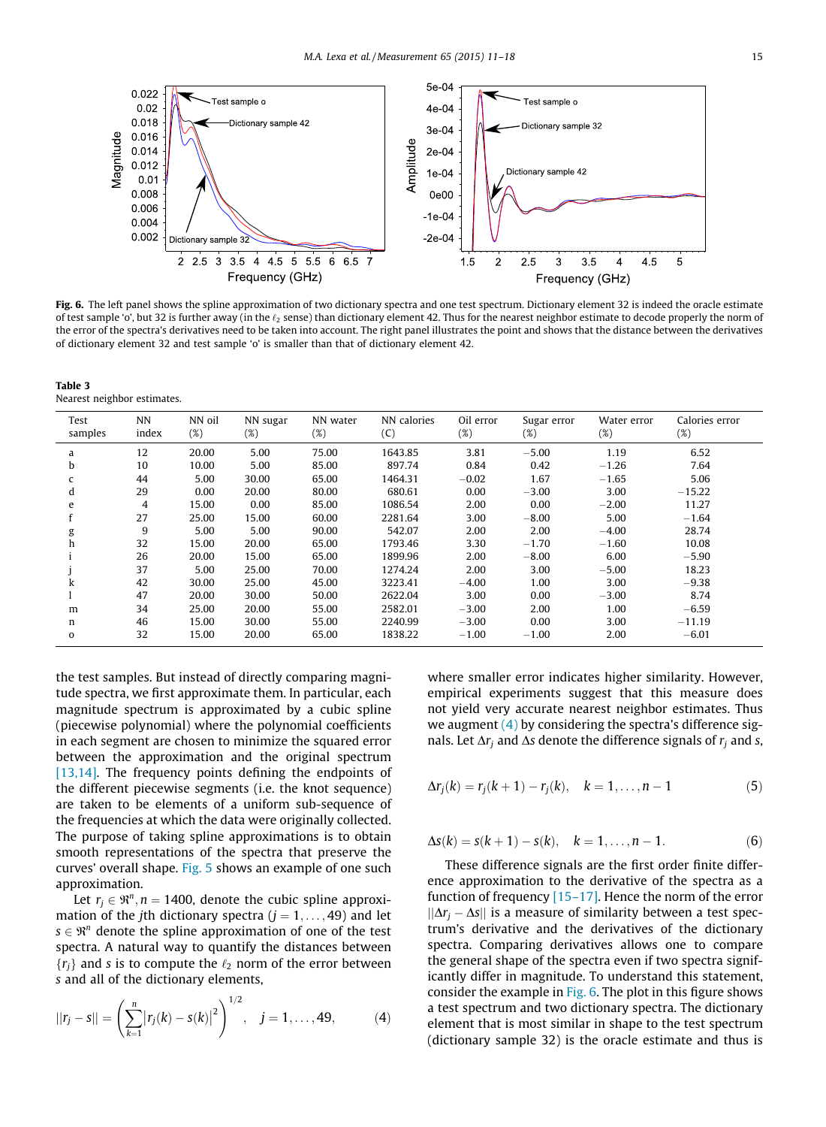<span id="page-4-0"></span>

Fig. 6. The left panel shows the spline approximation of two dictionary spectra and one test spectrum. Dictionary element 32 is indeed the oracle estimate of test sample 'o', but 32 is further away (in the  $\ell_2$  sense) than dictionary element 42. Thus for the nearest neighbor estimate to decode properly the norm of the error of the spectra's derivatives need to be taken into account. The right panel illustrates the point and shows that the distance between the derivatives of dictionary element 32 and test sample 'o' is smaller than that of dictionary element 42.

Table 3 Nearest neighbor estimates.

| Test<br>samples | <b>NN</b><br>index | NN oil<br>$(\%)$ | NN sugar<br>(%) | NN water<br>$(\%)$ | NN calories<br>(C) | Oil error<br>$(\%)$ | Sugar error<br>(%) | Water error<br>$(\%)$ | Calories error<br>$(\%)$ |
|-----------------|--------------------|------------------|-----------------|--------------------|--------------------|---------------------|--------------------|-----------------------|--------------------------|
| a               | 12                 | 20.00            | 5.00            | 75.00              | 1643.85            | 3.81                | $-5.00$            | 1.19                  | 6.52                     |
| b               | 10                 | 10.00            | 5.00            | 85.00              | 897.74             | 0.84                | 0.42               | $-1.26$               | 7.64                     |
|                 | 44                 | 5.00             | 30.00           | 65.00              | 1464.31            | $-0.02$             | 1.67               | $-1.65$               | 5.06                     |
| <sub>d</sub>    | 29                 | 0.00             | 20.00           | 80.00              | 680.61             | 0.00                | $-3.00$            | 3.00                  | $-15.22$                 |
| e               | 4                  | 15.00            | 0.00            | 85.00              | 1086.54            | 2.00                | 0.00               | $-2.00$               | 11.27                    |
|                 | 27                 | 25.00            | 15.00           | 60.00              | 2281.64            | 3.00                | $-8.00$            | 5.00                  | $-1.64$                  |
|                 | 9                  | 5.00             | 5.00            | 90.00              | 542.07             | 2.00                | 2.00               | $-4.00$               | 28.74                    |
| h               | 32                 | 15.00            | 20.00           | 65.00              | 1793.46            | 3.30                | $-1.70$            | $-1.60$               | 10.08                    |
|                 | 26                 | 20.00            | 15.00           | 65.00              | 1899.96            | 2.00                | $-8.00$            | 6.00                  | $-5.90$                  |
|                 | 37                 | 5.00             | 25.00           | 70.00              | 1274.24            | 2.00                | 3.00               | $-5.00$               | 18.23                    |
| k               | 42                 | 30.00            | 25.00           | 45.00              | 3223.41            | $-4.00$             | 1.00               | 3.00                  | $-9.38$                  |
|                 | 47                 | 20.00            | 30.00           | 50.00              | 2622.04            | 3.00                | 0.00               | $-3.00$               | 8.74                     |
| m               | 34                 | 25.00            | 20.00           | 55.00              | 2582.01            | $-3.00$             | 2.00               | 1.00                  | $-6.59$                  |
| n               | 46                 | 15.00            | 30.00           | 55.00              | 2240.99            | $-3.00$             | 0.00               | 3.00                  | $-11.19$                 |
| $\mathbf{o}$    | 32                 | 15.00            | 20.00           | 65.00              | 1838.22            | $-1.00$             | $-1.00$            | 2.00                  | $-6.01$                  |

the test samples. But instead of directly comparing magnitude spectra, we first approximate them. In particular, each magnitude spectrum is approximated by a cubic spline (piecewise polynomial) where the polynomial coefficients in each segment are chosen to minimize the squared error between the approximation and the original spectrum [\[13,14\].](#page-7-0) The frequency points defining the endpoints of the different piecewise segments (i.e. the knot sequence) are taken to be elements of a uniform sub-sequence of the frequencies at which the data were originally collected. The purpose of taking spline approximations is to obtain smooth representations of the spectra that preserve the curves' overall shape. [Fig. 5](#page-3-0) shows an example of one such approximation.

Let  $r_j \in \mathbb{R}^n$ ,  $n = 1400$ , denote the cubic spline approximation of the jth dictionary spectra  $(i = 1, \ldots, 49)$  and let  $s \in \mathbb{R}^n$  denote the spline approximation of one of the test spectra. A natural way to quantify the distances between  ${r_i}$  and s is to compute the  $\ell_2$  norm of the error between s and all of the dictionary elements,

$$
||r_j - s|| = \left(\sum_{k=1}^n |r_j(k) - s(k)|^2\right)^{1/2}, \quad j = 1, \dots, 49,
$$
 (4)

where smaller error indicates higher similarity. However, empirical experiments suggest that this measure does not yield very accurate nearest neighbor estimates. Thus we augment  $(4)$  by considering the spectra's difference signals. Let  $\Delta r_i$  and  $\Delta s$  denote the difference signals of  $r_i$  and s,

$$
\Delta r_j(k) = r_j(k+1) - r_j(k), \quad k = 1, \dots, n-1
$$
 (5)

$$
\Delta s(k) = s(k+1) - s(k), \quad k = 1, \dots, n-1. \tag{6}
$$

These difference signals are the first order finite difference approximation to the derivative of the spectra as a function of frequency [\[15–17\]](#page-7-0). Hence the norm of the error  $||\Delta r_i - \Delta s||$  is a measure of similarity between a test spectrum's derivative and the derivatives of the dictionary spectra. Comparing derivatives allows one to compare the general shape of the spectra even if two spectra significantly differ in magnitude. To understand this statement, consider the example in Fig. 6. The plot in this figure shows a test spectrum and two dictionary spectra. The dictionary element that is most similar in shape to the test spectrum (dictionary sample 32) is the oracle estimate and thus is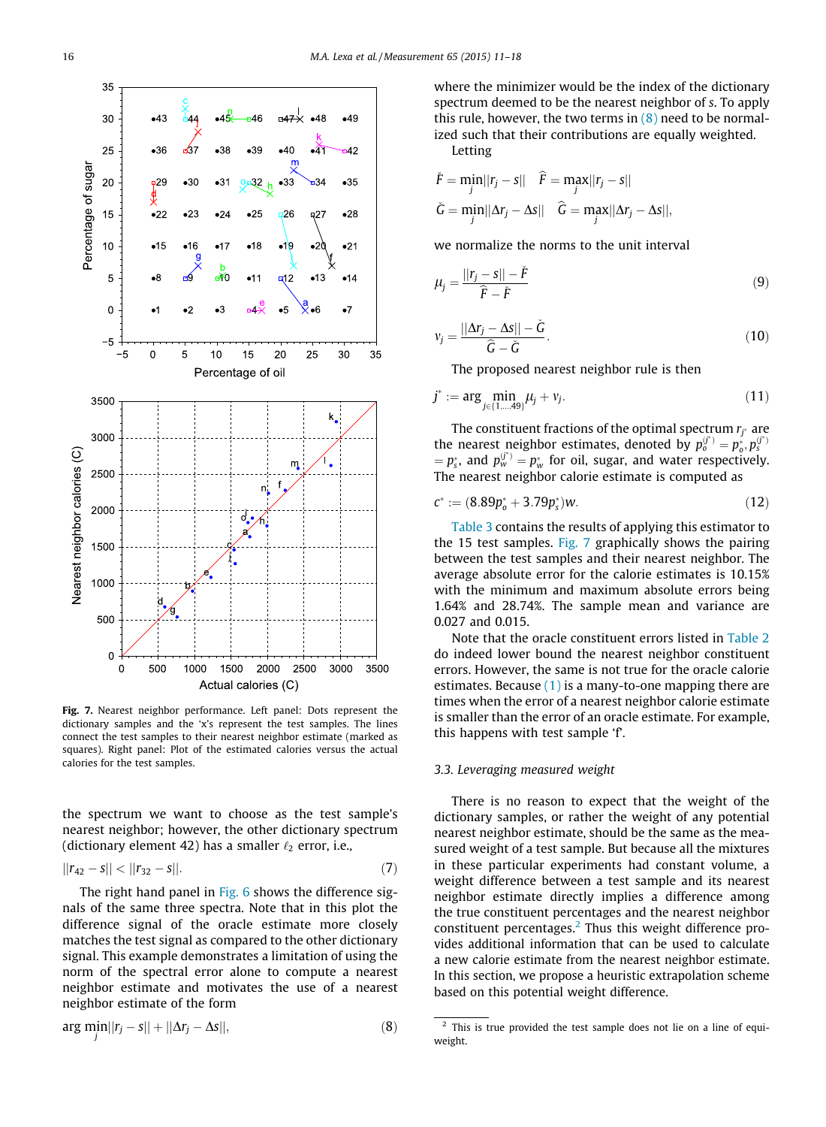<span id="page-5-0"></span>

Fig. 7. Nearest neighbor performance. Left panel: Dots represent the dictionary samples and the 'x's represent the test samples. The lines connect the test samples to their nearest neighbor estimate (marked as squares). Right panel: Plot of the estimated calories versus the actual calories for the test samples.

the spectrum we want to choose as the test sample's nearest neighbor; however, the other dictionary spectrum (dictionary element 42) has a smaller  $\ell_2$  error, i.e.,

$$
||r_{42}-s||<||r_{32}-s||. \t\t(7)
$$

The right hand panel in [Fig. 6](#page-4-0) shows the difference signals of the same three spectra. Note that in this plot the difference signal of the oracle estimate more closely matches the test signal as compared to the other dictionary signal. This example demonstrates a limitation of using the norm of the spectral error alone to compute a nearest neighbor estimate and motivates the use of a nearest neighbor estimate of the form

$$
\arg\min_{j}||r_j - s|| + ||\Delta r_j - \Delta s||,\tag{8}
$$

where the minimizer would be the index of the dictionary spectrum deemed to be the nearest neighbor of s. To apply this rule, however, the two terms in  $(8)$  need to be normalized such that their contributions are equally weighted. Letting

$$
\tilde{F} = \min_{j} ||r_j - s|| \quad \hat{F} = \max_{j} ||r_j - s||
$$

$$
\tilde{G} = \min_{j} ||\Delta r_j - \Delta s|| \quad \hat{G} = \max_{j} ||\Delta r_j - \Delta s||,
$$

we normalize the norms to the unit interval

$$
\mu_j = \frac{||r_j - s|| - \check{F}}{\hat{F} - \check{F}}
$$
\n(9)

$$
v_j = \frac{||\Delta r_j - \Delta s|| - \check{G}}{\hat{G} - \check{G}}.
$$
\n(10)

The proposed nearest neighbor rule is then

$$
j^* := \arg\min_{j \in \{1,\dots,49\}} \mu_j + \nu_j. \tag{11}
$$

The constituent fractions of the optimal spectrum  $r_{j^*}$  are the nearest neighbor estimates, denoted by  $p_0^{(j^*)} = p_0^*, p_s^{(j^*)}$  $p_s = p_s$ , and  $p_w^{(j^*)} = p_w^*$  for oil, sugar, and water respectively. The nearest neighbor calorie estimate is computed as

$$
c^* := (8.89p_o^* + 3.79p_s^*)w.
$$
\n(12)

[Table 3](#page-4-0) contains the results of applying this estimator to the 15 test samples. Fig. 7 graphically shows the pairing between the test samples and their nearest neighbor. The average absolute error for the calorie estimates is 10.15% with the minimum and maximum absolute errors being 1.64% and 28.74%. The sample mean and variance are 0.027 and 0.015.

Note that the oracle constituent errors listed in [Table 2](#page-3-0) do indeed lower bound the nearest neighbor constituent errors. However, the same is not true for the oracle calorie estimates. Because  $(1)$  is a many-to-one mapping there are times when the error of a nearest neighbor calorie estimate is smaller than the error of an oracle estimate. For example, this happens with test sample 'f'.

## 3.3. Leveraging measured weight

There is no reason to expect that the weight of the dictionary samples, or rather the weight of any potential nearest neighbor estimate, should be the same as the measured weight of a test sample. But because all the mixtures in these particular experiments had constant volume, a weight difference between a test sample and its nearest neighbor estimate directly implies a difference among the true constituent percentages and the nearest neighbor constituent percentages. $<sup>2</sup>$  Thus this weight difference pro-</sup> vides additional information that can be used to calculate a new calorie estimate from the nearest neighbor estimate. In this section, we propose a heuristic extrapolation scheme based on this potential weight difference.

<sup>&</sup>lt;sup>2</sup> This is true provided the test sample does not lie on a line of equiweight.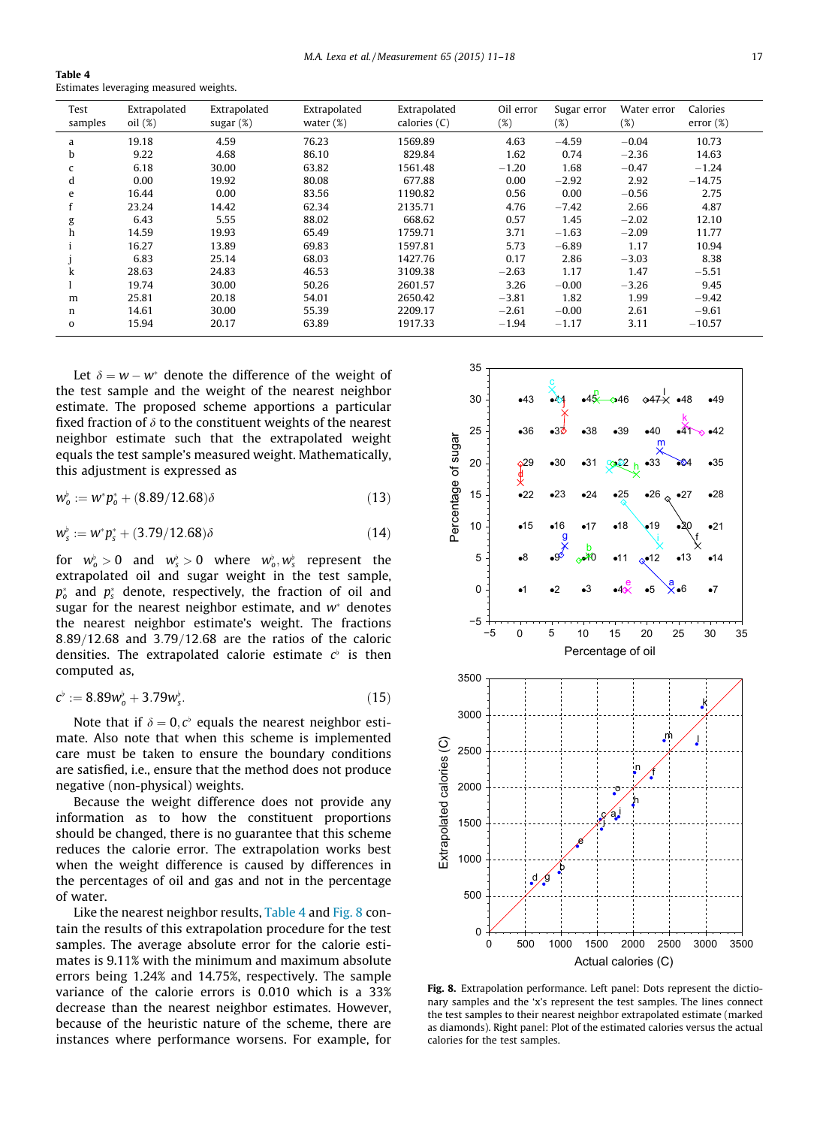Table 4 Estimates leveraging measured weights.

| Test<br>samples | Extrapolated<br>oil (%) | Extrapolated<br>sugar $(\%)$ | Extrapolated<br>water $(\%)$ | Extrapolated<br>calories (C) | Oil error<br>$(\%)$ | Sugar error<br>(%) | Water error<br>(%) | Calories<br>error $(\%)$ |
|-----------------|-------------------------|------------------------------|------------------------------|------------------------------|---------------------|--------------------|--------------------|--------------------------|
| a               | 19.18                   | 4.59                         | 76.23                        | 1569.89                      | 4.63                | $-4.59$            | $-0.04$            | 10.73                    |
| b               | 9.22                    | 4.68                         | 86.10                        | 829.84                       | 1.62                | 0.74               | $-2.36$            | 14.63                    |
| c               | 6.18                    | 30.00                        | 63.82                        | 1561.48                      | $-1.20$             | 1.68               | $-0.47$            | $-1.24$                  |
| d               | 0.00                    | 19.92                        | 80.08                        | 677.88                       | 0.00                | $-2.92$            | 2.92               | $-14.75$                 |
| e               | 16.44                   | 0.00                         | 83.56                        | 1190.82                      | 0.56                | 0.00               | $-0.56$            | 2.75                     |
|                 | 23.24                   | 14.42                        | 62.34                        | 2135.71                      | 4.76                | $-7.42$            | 2.66               | 4.87                     |
| g               | 6.43                    | 5.55                         | 88.02                        | 668.62                       | 0.57                | 1.45               | $-2.02$            | 12.10                    |
| h               | 14.59                   | 19.93                        | 65.49                        | 1759.71                      | 3.71                | $-1.63$            | $-2.09$            | 11.77                    |
|                 | 16.27                   | 13.89                        | 69.83                        | 1597.81                      | 5.73                | $-6.89$            | 1.17               | 10.94                    |
|                 | 6.83                    | 25.14                        | 68.03                        | 1427.76                      | 0.17                | 2.86               | $-3.03$            | 8.38                     |
| k               | 28.63                   | 24.83                        | 46.53                        | 3109.38                      | $-2.63$             | 1.17               | 1.47               | $-5.51$                  |
|                 | 19.74                   | 30.00                        | 50.26                        | 2601.57                      | 3.26                | $-0.00$            | $-3.26$            | 9.45                     |
| m               | 25.81                   | 20.18                        | 54.01                        | 2650.42                      | $-3.81$             | 1.82               | 1.99               | $-9.42$                  |
| n               | 14.61                   | 30.00                        | 55.39                        | 2209.17                      | $-2.61$             | $-0.00$            | 2.61               | $-9.61$                  |
| $\mathbf 0$     | 15.94                   | 20.17                        | 63.89                        | 1917.33                      | $-1.94$             | $-1.17$            | 3.11               | $-10.57$                 |

Let  $\delta = w - w^*$  denote the difference of the weight of the test sample and the weight of the nearest neighbor estimate. The proposed scheme apportions a particular fixed fraction of  $\delta$  to the constituent weights of the nearest neighbor estimate such that the extrapolated weight equals the test sample's measured weight. Mathematically, this adjustment is expressed as

$$
w_o^{\flat} := w^* p_o^* + (8.89/12.68)\delta \tag{13}
$$

$$
w_s^{\flat} := w^* p_s^* + (3.79/12.68)\delta \tag{14}
$$

for  $w_o^{\flat} > 0$  and  $w_s^{\flat} > 0$  where  $w_o^{\flat}, w_s^{\flat}$  represent the extrapolated oil and sugar weight in the test sample,  $p_o^*$  and  $p_s^*$  denote, respectively, the fraction of oil and sugar for the nearest neighbor estimate, and  $w^*$  denotes the nearest neighbor estimate's weight. The fractions  $8.89/12.68$  and  $3.79/12.68$  are the ratios of the caloric densities. The extrapolated calorie estimate  $c^{\flat}$  is then computed as,

$$
c^{\flat} := 8.89 w_o^{\flat} + 3.79 w_s^{\flat}.
$$
 (15)

Note that if  $\delta = 0, c^{\flat}$  equals the nearest neighbor estimate. Also note that when this scheme is implemented care must be taken to ensure the boundary conditions are satisfied, i.e., ensure that the method does not produce negative (non-physical) weights.

Because the weight difference does not provide any information as to how the constituent proportions should be changed, there is no guarantee that this scheme reduces the calorie error. The extrapolation works best when the weight difference is caused by differences in the percentages of oil and gas and not in the percentage of water.

Like the nearest neighbor results, Table 4 and Fig. 8 contain the results of this extrapolation procedure for the test samples. The average absolute error for the calorie estimates is 9.11% with the minimum and maximum absolute errors being 1.24% and 14.75%, respectively. The sample variance of the calorie errors is 0.010 which is a 33% decrease than the nearest neighbor estimates. However, because of the heuristic nature of the scheme, there are instances where performance worsens. For example, for



Fig. 8. Extrapolation performance. Left panel: Dots represent the dictionary samples and the 'x's represent the test samples. The lines connect the test samples to their nearest neighbor extrapolated estimate (marked as diamonds). Right panel: Plot of the estimated calories versus the actual calories for the test samples.